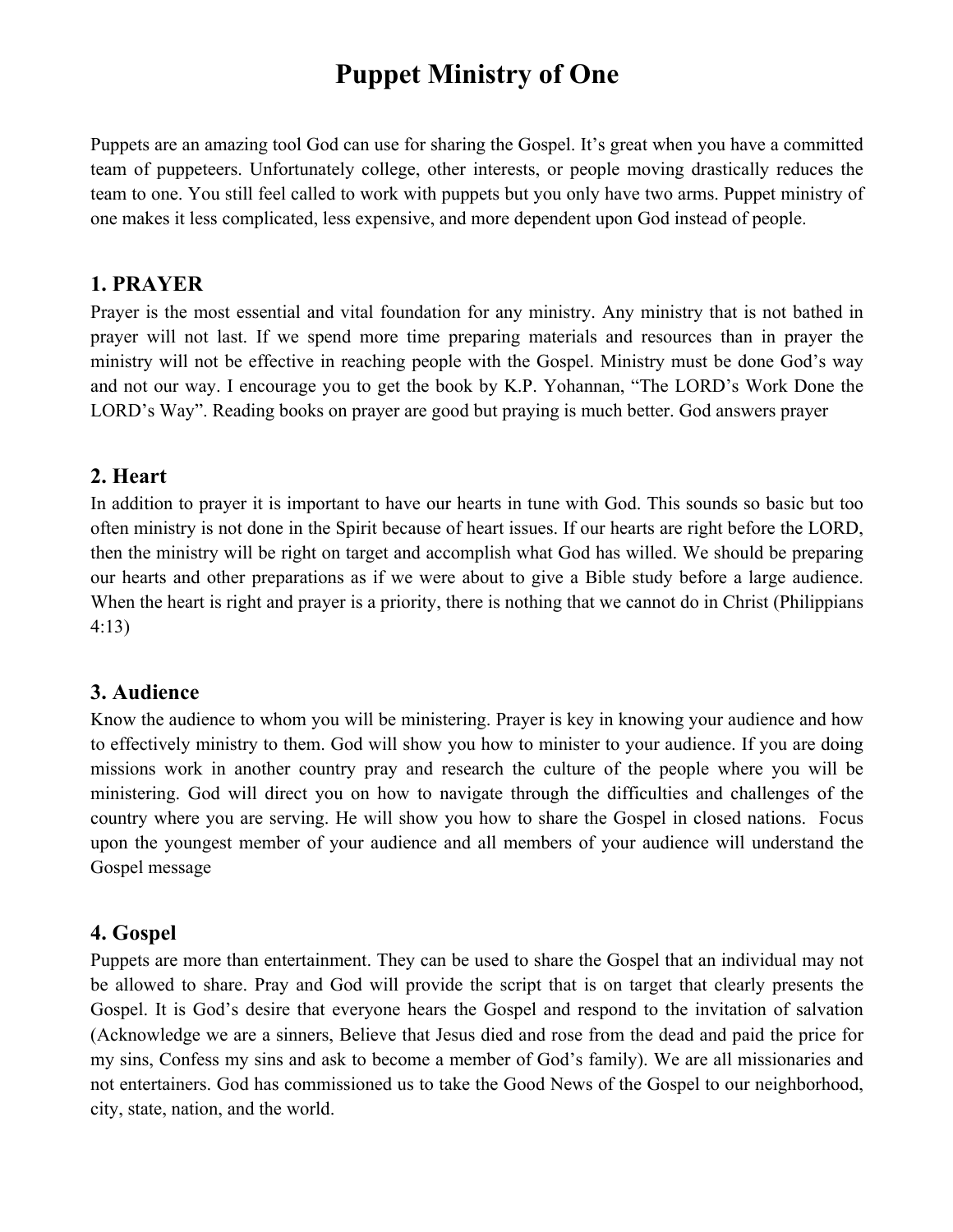# **Puppet Ministry of One**

Puppets are an amazing tool God can use for sharing the Gospel. It's great when you have a committed team of puppeteers. Unfortunately college, other interests, or people moving drastically reduces the team to one. You still feel called to work with puppets but you only have two arms. Puppet ministry of one makes it less complicated, less expensive, and more dependent upon God instead of people.

#### **1. PRAYER**

Prayer is the most essential and vital foundation for any ministry. Any ministry that is not bathed in prayer will not last. If we spend more time preparing materials and resources than in prayer the ministry will not be effective in reaching people with the Gospel. Ministry must be done God's way and not our way. I encourage you to get the book by K.P. Yohannan, "The LORD's Work Done the LORD's Way". Reading books on prayer are good but praying is much better. God answers prayer

#### **2. Heart**

In addition to prayer it is important to have our hearts in tune with God. This sounds so basic but too often ministry is not done in the Spirit because of heart issues. If our hearts are right before the LORD, then the ministry will be right on target and accomplish what God has willed. We should be preparing our hearts and other preparations as if we were about to give a Bible study before a large audience. When the heart is right and prayer is a priority, there is nothing that we cannot do in Christ (Philippians 4:13)

## **3. Audience**

Know the audience to whom you will be ministering. Prayer is key in knowing your audience and how to effectively ministry to them. God will show you how to minister to your audience. If you are doing missions work in another country pray and research the culture of the people where you will be ministering. God will direct you on how to navigate through the difficulties and challenges of the country where you are serving. He will show you how to share the Gospel in closed nations. Focus upon the youngest member of your audience and all members of your audience will understand the Gospel message

## **4. Gospel**

Puppets are more than entertainment. They can be used to share the Gospel that an individual may not be allowed to share. Pray and God will provide the script that is on target that clearly presents the Gospel. It is God's desire that everyone hears the Gospel and respond to the invitation of salvation (Acknowledge we are a sinners, Believe that Jesus died and rose from the dead and paid the price for my sins, Confess my sins and ask to become a member of God's family). We are all missionaries and not entertainers. God has commissioned us to take the Good News of the Gospel to our neighborhood, city, state, nation, and the world.